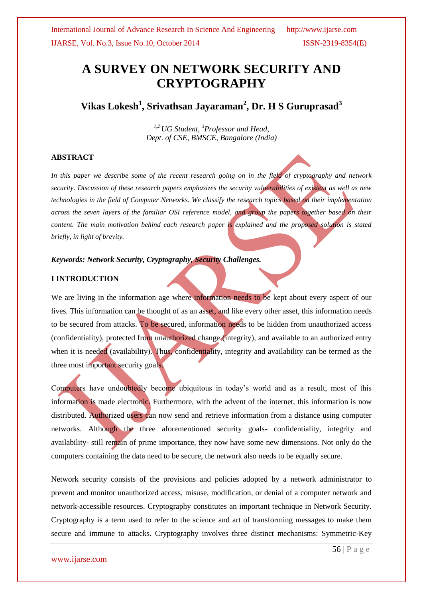# **A SURVEY ON NETWORK SECURITY AND CRYPTOGRAPHY**

**Vikas Lokesh<sup>1</sup> , Srivathsan Jayaraman<sup>2</sup> , Dr. H S Guruprasad<sup>3</sup>**

*1,2 UG Student, <sup>3</sup>Professor and Head, Dept. of CSE, BMSCE, Bangalore (India)*

### **ABSTRACT**

*In this paper we describe some of the recent research going on in the field of cryptography and network security. Discussion of these research papers emphasizes the security vulnerabilities of existent as well as new technologies in the field of Computer Networks. We classify the research topics based on their implementation across the seven layers of the familiar OSI reference model, and group the papers together based on their content. The main motivation behind each research paper is explained and the proposed solution is stated briefly, in light of brevity.*

### *Keywords: Network Security, Cryptography, Security Challenges.*

### **I INTRODUCTION**

We are living in the information age where information needs to be kept about every aspect of our lives. This information can be thought of as an asset, and like every other asset, this information needs to be secured from attacks. To be secured, information needs to be hidden from unauthorized access (confidentiality), protected from unauthorized change (integrity), and available to an authorized entry when it is needed (availability). Thus, confidentiality, integrity and availability can be termed as the three most important security goals.

Computers have undoubtedly become ubiquitous in today's world and as a result, most of this information is made electronic. Furthermore, with the advent of the internet, this information is now distributed. Authorized users can now send and retrieve information from a distance using computer networks. Although the three aforementioned security goals- confidentiality, integrity and availability- still remain of prime importance, they now have some new dimensions. Not only do the computers containing the data need to be secure, the network also needs to be equally secure.

Network security consists of the provisions and policies adopted by a network administrator to prevent and monitor unauthorized access, misuse, modification, or denial of a computer network and network-accessible resources. Cryptography constitutes an important technique in Network Security. Cryptography is a term used to refer to the science and art of transforming messages to make them secure and immune to attacks. Cryptography involves three distinct mechanisms: Symmetric-Key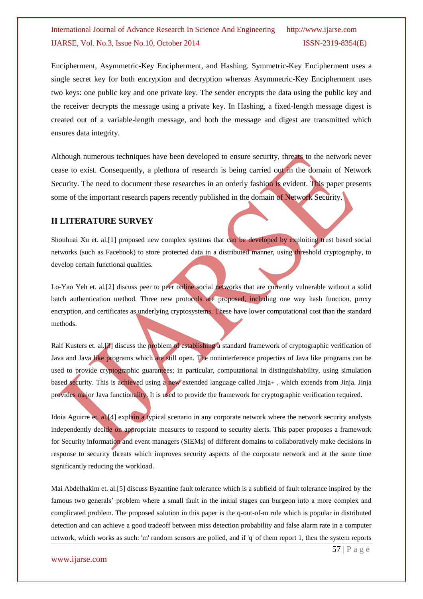Encipherment, Asymmetric-Key Encipherment, and Hashing. Symmetric-Key Encipherment uses a single secret key for both encryption and decryption whereas Asymmetric-Key Encipherment uses two keys: one public key and one private key. The sender encrypts the data using the public key and the receiver decrypts the message using a private key. In Hashing, a fixed-length message digest is created out of a variable-length message, and both the message and digest are transmitted which ensures data integrity.

Although numerous techniques have been developed to ensure security, threats to the network never cease to exist. Consequently, a plethora of research is being carried out in the domain of Network Security. The need to document these researches in an orderly fashion is evident. This paper presents some of the important research papers recently published in the domain of Network Security.

### **II LITERATURE SURVEY**

Shouhuai Xu et. al.[1] proposed new complex systems that can be developed by exploiting trust based social networks (such as Facebook) to store protected data in a distributed manner, using threshold cryptography, to develop certain functional qualities.

Lo-Yao Yeh et. al.[2] discuss peer to peer online social networks that are currently vulnerable without a solid batch authentication method. Three new protocols are proposed, including one way hash function, proxy encryption, and certificates as underlying cryptosystems. These have lower computational cost than the standard methods.

Ralf Kusters et. al.<sup>[3]</sup> discuss the problem of establishing a standard framework of cryptographic verification of Java and Java like programs which are still open. The noninterference properties of Java like programs can be used to provide cryptographic guarantees; in particular, computational in distinguishability, using simulation based security. This is achieved using a new extended language called Jinja+ , which extends from Jinja. Jinja provides major Java functionality. It is used to provide the framework for cryptographic verification required.

Idoia Aguirre et. al.[4] explain a typical scenario in any corporate network where the network security analysts independently decide on appropriate measures to respond to security alerts. This paper proposes a framework for Security information and event managers (SIEMs) of different domains to collaboratively make decisions in response to security threats which improves security aspects of the corporate network and at the same time significantly reducing the workload.

Mai Abdelhakim et. al.[5] discuss Byzantine fault tolerance which is a subfield of fault tolerance inspired by the famous two generals' problem where a small fault in the initial stages can burgeon into a more complex and complicated problem. The proposed solution in this paper is the q-out-of-m rule which is popular in distributed detection and can achieve a good tradeoff between miss detection probability and false alarm rate in a computer network, which works as such: 'm' random sensors are polled, and if 'q' of them report 1, then the system reports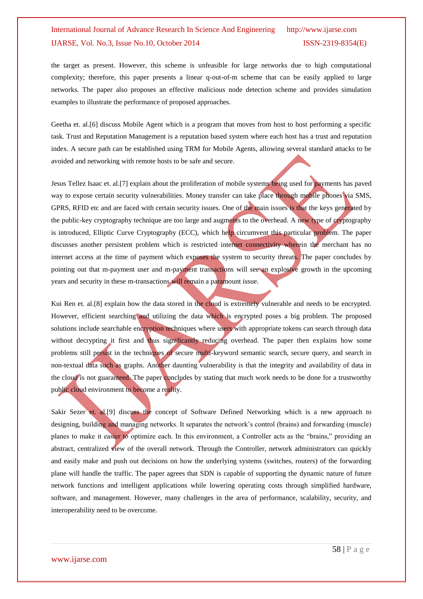the target as present. However, this scheme is unfeasible for large networks due to high computational complexity; therefore, this paper presents a linear q-out-of-m scheme that can be easily applied to large networks. The paper also proposes an effective malicious node detection scheme and provides simulation examples to illustrate the performance of proposed approaches.

Geetha et. al.[6] discuss Mobile Agent which is a program that moves from host to host performing a specific task. Trust and Reputation Management is a reputation based system where each host has a trust and reputation index. A secure path can be established using TRM for Mobile Agents, allowing several standard attacks to be avoided and networking with remote hosts to be safe and secure.

Jesus Tellez Isaac et. al.[7] explain about the proliferation of mobile systems being used for payments has paved way to expose certain security vulnerabilities. Money transfer can take place through mobile phones via SMS, GPRS, RFID etc and are faced with certain security issues. One of the main issues is that the keys generated by the public-key cryptography technique are too large and augments to the overhead. A new type of cryptography is introduced, Elliptic Curve Cryptography (ECC), which help circumvent this particular problem. The paper discusses another persistent problem which is restricted internet connectivity wherein the merchant has no internet access at the time of payment which exposes the system to security threats. The paper concludes by pointing out that m-payment user and m-payment transactions will see an explosive growth in the upcoming years and security in these m-transactions will remain a paramount issue.

Kui Ren et. al.[8] explain how the data stored in the cloud is extremely vulnerable and needs to be encrypted. However, efficient searching and utilizing the data which is encrypted poses a big problem. The proposed solutions include searchable encryption techniques where users with appropriate tokens can search through data without decrypting it first and thus significantly reducing overhead. The paper then explains how some problems still persist in the techniques of secure multi-keyword semantic search, secure query, and search in non-textual data such as graphs. Another daunting vulnerability is that the integrity and availability of data in the cloud is not guaranteed. The paper concludes by stating that much work needs to be done for a trustworthy public cloud environment to become a reality.

Sakir Sezer et. al.[9] discuss the concept of Software Defined Networking which is a new approach to designing, building and managing networks. It separates the network's control (brains) and forwarding (muscle) planes to make it easier to optimize each. In this environment, a Controller acts as the "brains," providing an abstract, centralized view of the overall network. Through the Controller, network administrators can quickly and easily make and push out decisions on how the underlying systems (switches, routers) of the forwarding plane will handle the traffic. The paper agrees that SDN is capable of supporting the dynamic nature of future network functions and intelligent applications while lowering operating costs through simplified hardware, software, and management. However, many challenges in the area of performance, scalability, security, and interoperability need to be overcome.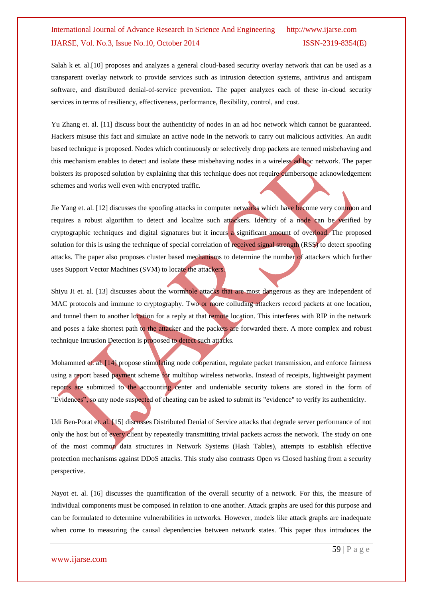Salah k et. al.[10] proposes and analyzes a general cloud-based security overlay network that can be used as a transparent overlay network to provide services such as intrusion detection systems, antivirus and antispam software, and distributed denial-of-service prevention. The paper analyzes each of these in-cloud security services in terms of resiliency, effectiveness, performance, flexibility, control, and cost.

Yu Zhang et. al. [11] discuss bout the authenticity of nodes in an ad hoc network which cannot be guaranteed. Hackers misuse this fact and simulate an active node in the network to carry out malicious activities. An audit based technique is proposed. Nodes which continuously or selectively drop packets are termed misbehaving and this mechanism enables to detect and isolate these misbehaving nodes in a wireless ad hoc network. The paper bolsters its proposed solution by explaining that this technique does not require cumbersome acknowledgement schemes and works well even with encrypted traffic.

Jie Yang et. al. [12] discusses the spoofing attacks in computer networks which have become very common and requires a robust algorithm to detect and localize such attackers. Identity of a node can be verified by cryptographic techniques and digital signatures but it incurs a significant amount of overload. The proposed solution for this is using the technique of special correlation of received signal strength (RSS) to detect spoofing attacks. The paper also proposes cluster based mechanisms to determine the number of attackers which further uses Support Vector Machines (SVM) to locate the attackers.

Shiyu Ji et. al. [13] discusses about the wormhole attacks that are most dangerous as they are independent of MAC protocols and immune to cryptography. Two or more colluding attackers record packets at one location, and tunnel them to another location for a reply at that remote location. This interferes with RIP in the network and poses a fake shortest path to the attacker and the packets are forwarded there. A more complex and robust technique Intrusion Detection is proposed to detect such attacks.

Mohammed et. al. [14] propose stimulating node cooperation, regulate packet transmission, and enforce fairness using a report based payment scheme for multihop wireless networks. Instead of receipts, lightweight payment reports are submitted to the accounting center and undeniable security tokens are stored in the form of "Evidences", so any node suspected of cheating can be asked to submit its "evidence" to verify its authenticity.

Udi Ben-Porat et. al. [15] discusses Distributed Denial of Service attacks that degrade server performance of not only the host but of every client by repeatedly transmitting trivial packets across the network. The study on one of the most common data structures in Network Systems (Hash Tables), attempts to establish effective protection mechanisms against DDoS attacks. This study also contrasts Open vs Closed hashing from a security perspective.

Nayot et. al. [16] discusses the quantification of the overall security of a network. For this, the measure of individual components must be composed in relation to one another. Attack graphs are used for this purpose and can be formulated to determine vulnerabilities in networks. However, models like attack graphs are inadequate when come to measuring the causal dependencies between network states. This paper thus introduces the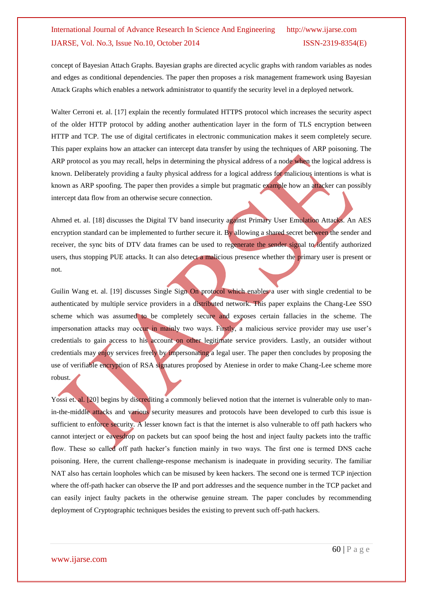concept of Bayesian Attach Graphs. Bayesian graphs are directed acyclic graphs with random variables as nodes and edges as conditional dependencies. The paper then proposes a risk management framework using Bayesian Attack Graphs which enables a network administrator to quantify the security level in a deployed network.

Walter Cerroni et. al. [17] explain the recently formulated HTTPS protocol which increases the security aspect of the older HTTP protocol by adding another authentication layer in the form of TLS encryption between HTTP and TCP. The use of digital certificates in electronic communication makes it seem completely secure. This paper explains how an attacker can intercept data transfer by using the techniques of ARP poisoning. The ARP protocol as you may recall, helps in determining the physical address of a node when the logical address is known. Deliberately providing a faulty physical address for a logical address for malicious intentions is what is known as ARP spoofing. The paper then provides a simple but pragmatic example how an attacker can possibly intercept data flow from an otherwise secure connection.

Ahmed et. al. [18] discusses the Digital TV band insecurity against Primary User Emulation Attacks. An AES encryption standard can be implemented to further secure it. By allowing a shared secret between the sender and receiver, the sync bits of DTV data frames can be used to regenerate the sender signal to identify authorized users, thus stopping PUE attacks. It can also detect a malicious presence whether the primary user is present or not.

Guilin Wang et. al. [19] discusses Single Sign On protocol which enables a user with single credential to be authenticated by multiple service providers in a distributed network. This paper explains the Chang-Lee SSO scheme which was assumed to be completely secure and exposes certain fallacies in the scheme. The impersonation attacks may occur in mainly two ways. Firstly, a malicious service provider may use user's credentials to gain access to his account on other legitimate service providers. Lastly, an outsider without credentials may enjoy services freely by impersonating a legal user. The paper then concludes by proposing the use of verifiable encryption of RSA signatures proposed by Ateniese in order to make Chang-Lee scheme more robust.

Yossi et. al. [20] begins by discrediting a commonly believed notion that the internet is vulnerable only to manin-the-middle attacks and various security measures and protocols have been developed to curb this issue is sufficient to enforce security. A lesser known fact is that the internet is also vulnerable to off path hackers who cannot interject or eavesdrop on packets but can spoof being the host and inject faulty packets into the traffic flow. These so called off path hacker's function mainly in two ways. The first one is termed DNS cache poisoning. Here, the current challenge-response mechanism is inadequate in providing security. The familiar NAT also has certain loopholes which can be misused by keen hackers. The second one is termed TCP injection where the off-path hacker can observe the IP and port addresses and the sequence number in the TCP packet and can easily inject faulty packets in the otherwise genuine stream. The paper concludes by recommending deployment of Cryptographic techniques besides the existing to prevent such off-path hackers.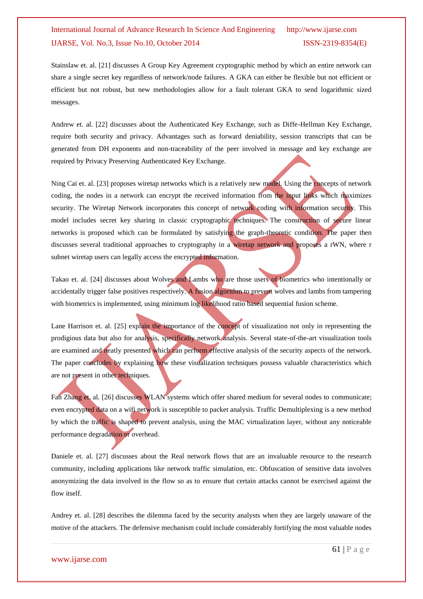Stainslaw et. al. [21] discusses A Group Key Agreement cryptographic method by which an entire network can share a single secret key regardless of network/node failures. A GKA can either be flexible but not efficient or efficient but not robust, but new methodologies allow for a fault tolerant GKA to send logarithmic sized messages.

Andrew et. al. [22] discusses about the Authenticated Key Exchange, such as Diffe-Hellman Key Exchange, require both security and privacy. Advantages such as forward deniability, session transcripts that can be generated from DH exponents and non-traceability of the peer involved in message and key exchange are required by Privacy Preserving Authenticated Key Exchange.

Ning Cai et. al. [23] proposes wiretap networks which is a relatively new model. Using the concepts of network coding, the nodes in a network can encrypt the received information from the input links which maximizes security. The Wiretap Network incorporates this concept of network coding with information security. This model includes secret key sharing in classic cryptographic techniques. The construction of secure linear networks is proposed which can be formulated by satisfying the graph-theoretic condition. The paper then discusses several traditional approaches to cryptography in a wiretap network and proposes a rWN, where r subnet wiretap users can legally access the encrypted information.

Takao et. al. [24] discusses about Wolves and Lambs who are those users of biometrics who intentionally or accidentally trigger false positives respectively. A fusion algorithm to prevent wolves and lambs from tampering with biometrics is implemented, using minimum log likelihood ratio based sequential fusion scheme.

Lane Harrison et. al. [25] explain the importance of the concept of visualization not only in representing the prodigious data but also for analysis, specifically network analysis. Several state-of-the-art visualization tools are examined and neatly presented which can perform effective analysis of the security aspects of the network. The paper concludes by explaining how these visualization techniques possess valuable characteristics which are not present in other techniques.

Fan Zhang et. al. [26] discusses WLAN systems which offer shared medium for several nodes to communicate; even encrypted data on a wifi network is susceptible to packet analysis. Traffic Demultiplexing is a new method by which the traffic is shaped to prevent analysis, using the MAC virtualization layer, without any noticeable performance degradation or overhead.

Daniele et. al. [27] discusses about the Real network flows that are an invaluable resource to the research community, including applications like network traffic simulation, etc. Obfuscation of sensitive data involves anonymizing the data involved in the flow so as to ensure that certain attacks cannot be exercised against the flow itself.

Andrey et. al. [28] describes the dilemma faced by the security analysts when they are largely unaware of the motive of the attackers. The defensive mechanism could include considerably fortifying the most valuable nodes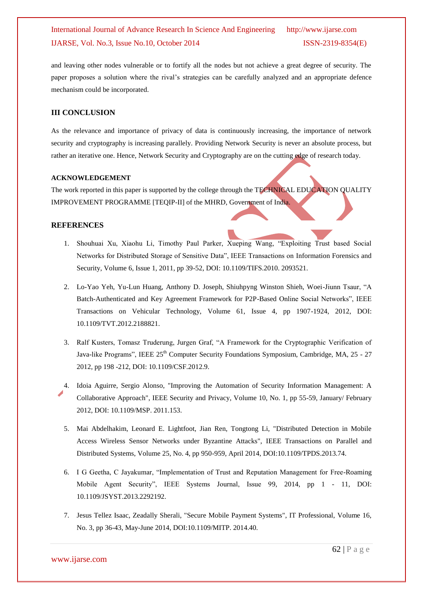and leaving other nodes vulnerable or to fortify all the nodes but not achieve a great degree of security. The paper proposes a solution where the rival's strategies can be carefully analyzed and an appropriate defence mechanism could be incorporated.

### **III CONCLUSION**

As the relevance and importance of privacy of data is continuously increasing, the importance of network security and cryptography is increasing parallely. Providing Network Security is never an absolute process, but rather an iterative one. Hence, Network Security and Cryptography are on the cutting edge of research today.

#### **ACKNOWLEDGEMENT**

The work reported in this paper is supported by the college through the TECHNICAL EDUCATION QUALITY IMPROVEMENT PROGRAMME [TEQIP-II] of the MHRD, Government of India.

### **REFERENCES**

- 1. Shouhuai Xu, Xiaohu Li, Timothy Paul Parker, Xueping Wang, "Exploiting Trust based Social Networks for Distributed Storage of Sensitive Data", IEEE Transactions on Information Forensics and Security, Volume 6, Issue 1, 2011, pp 39-52, DOI: 10.1109/TIFS.2010. 2093521.
- 2. Lo-Yao Yeh, Yu-Lun Huang, Anthony D. Joseph, Shiuhpyng Winston Shieh, Woei-Jiunn Tsaur, "A Batch-Authenticated and Key Agreement Framework for P2P-Based Online Social Networks", IEEE Transactions on Vehicular Technology, Volume 61, Issue 4, pp 1907-1924, 2012, DOI: 10.1109/TVT.2012.2188821.
- 3. Ralf Kusters, Tomasz Truderung, Jurgen Graf, "A Framework for the Cryptographic Verification of Java-like Programs", IEEE 25<sup>th</sup> Computer Security Foundations Symposium, Cambridge, MA, 25 - 27 2012, pp 198 -212, DOI: 10.1109/CSF.2012.9.
- 4. Idoia Aguirre, Sergio Alonso, "Improving the Automation of Security Information Management: A Collaborative Approach", IEEE Security and Privacy, Volume 10, No. 1, pp 55-59, January/ February 2012, DOI: 10.1109/MSP. 2011.153.
- 5. Mai Abdelhakim, Leonard E. Lightfoot, Jian Ren, Tongtong Li, "Distributed Detection in Mobile Access Wireless Sensor Networks under Byzantine Attacks", IEEE Transactions on Parallel and Distributed Systems, Volume 25, No. 4, pp 950-959, April 2014, DOI:10.1109/TPDS.2013.74.
- 6. I G Geetha, C Jayakumar, "Implementation of Trust and Reputation Management for Free-Roaming Mobile Agent Security", IEEE Systems Journal, Issue 99, 2014, pp 1 - 11, DOI: 10.1109/JSYST.2013.2292192.
- 7. Jesus Tellez Isaac, Zeadally Sherali, "Secure Mobile Payment Systems", IT Professional, Volume 16, No. 3, pp 36-43, May-June 2014, DOI:10.1109/MITP. 2014.40.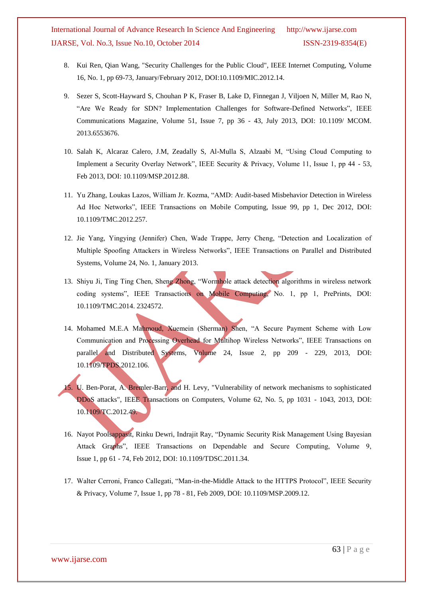- 8. Kui Ren, Qian Wang, "Security Challenges for the Public Cloud", IEEE Internet Computing, Volume 16, No. 1, pp 69-73, January/February 2012, DOI:10.1109/MIC.2012.14.
- 9. Sezer S, Scott-Hayward S, Chouhan P K, Fraser B, Lake D, Finnegan J, Viljoen N, Miller M, Rao N, "Are We Ready for SDN? Implementation Challenges for Software-Defined Networks", IEEE Communications Magazine, Volume 51, Issue 7, pp 36 - 43, July 2013, DOI: 10.1109/ MCOM. 2013.6553676.
- 10. Salah K, Alcaraz Calero, J.M, Zeadally S, Al-Mulla S, Alzaabi M, "Using Cloud Computing to Implement a Security Overlay Network", IEEE Security & Privacy, Volume 11, Issue 1, pp 44 - 53, Feb 2013, DOI: 10.1109/MSP.2012.88.
- 11. Yu Zhang, Loukas Lazos, William Jr. Kozma, "AMD: Audit-based Misbehavior Detection in Wireless Ad Hoc Networks", IEEE Transactions on Mobile Computing, Issue 99, pp 1, Dec 2012, DOI: 10.1109/TMC.2012.257.
- 12. Jie Yang, Yingying (Jennifer) Chen, Wade Trappe, Jerry Cheng, "Detection and Localization of Multiple Spoofing Attackers in Wireless Networks", IEEE Transactions on Parallel and Distributed Systems, Volume 24, No. 1, January 2013.
- 13. Shiyu Ji, Ting Ting Chen, Sheng Zhong, "Wormhole attack detection algorithms in wireless network coding systems", IEEE Transactions on Mobile Computing, No. 1, pp 1, PrePrints, DOI: 10.1109/TMC.2014. 2324572.
- 14. Mohamed M.E.A Mahmoud, Xuemein (Sherman) Shen, "A Secure Payment Scheme with Low Communication and Processing Overhead for Multihop Wireless Networks", IEEE Transactions on parallel and Distributed Systems, Volume 24, Issue 2, pp 209 - 229, 2013, DOI: 10.1109/TPDS.2012.106.
- 15. U. Ben-Porat, A. Bremler-Barr, and H. Levy, "Vulnerability of network mechanisms to sophisticated DDoS attacks", IEEE Transactions on Computers, Volume 62, No. 5, pp 1031 - 1043, 2013, DOI: 10.1109/TC.2012.49.
- 16. Nayot Poolsappasit, Rinku Dewri, Indrajit Ray, "Dynamic Security Risk Management Using Bayesian Attack Graphs", IEEE Transactions on Dependable and Secure Computing, Volume 9, Issue 1, pp 61 - 74, Feb 2012, DOI: 10.1109/TDSC.2011.34.
- 17. Walter Cerroni, Franco Callegati, "Man-in-the-Middle Attack to the HTTPS Protocol", IEEE Security & Privacy, Volume 7, Issue 1, pp 78 - 81, Feb 2009, DOI: 10.1109/MSP.2009.12.